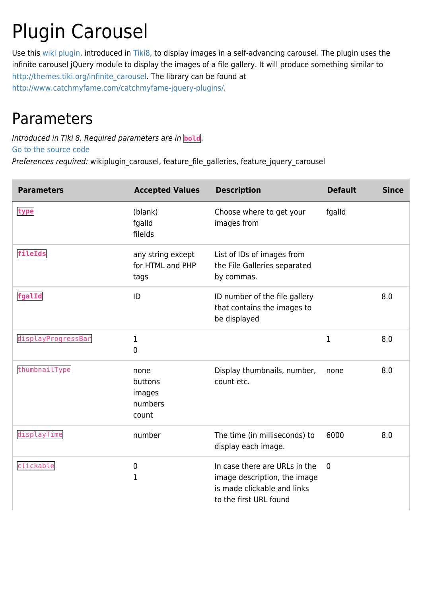## Plugin Carousel

Use this [wiki plugin](https://doc.tiki.org/wiki%20plugin), introduced in [Tiki8,](https://doc.tiki.org/Tiki8) to display images in a self-advancing carousel. The plugin uses the infinite carousel jQuery module to display the images of a file gallery. It will produce something similar to [http://themes.tiki.org/infinite\\_carousel.](http://themes.tiki.org/infinite_carousel) The library can be found at [http://www.catchmyfame.com/catchmyfame-jquery-plugins/.](http://www.catchmyfame.com/catchmyfame-jquery-plugins/)

## Parameters

Introduced in Tiki 8. Required parameters are in **bold**.

[Go to the source code](https://gitlab.com/tikiwiki/tiki/-/blob/master/lib/wiki-plugins/wikiplugin_carousel.php)

Preferences required: wikiplugin\_carousel, feature\_file\_galleries, feature\_jquery\_carousel

| <b>Parameters</b>  | <b>Accepted Values</b>                        | <b>Description</b>                                                                                                     | <b>Default</b> | <b>Since</b> |
|--------------------|-----------------------------------------------|------------------------------------------------------------------------------------------------------------------------|----------------|--------------|
| type               | (blank)<br>fgalld<br>filelds                  | Choose where to get your<br>images from                                                                                | fgalld         |              |
| fileIds            | any string except<br>for HTML and PHP<br>tags | List of IDs of images from<br>the File Galleries separated<br>by commas.                                               |                |              |
| fgalId             | ID                                            | ID number of the file gallery<br>that contains the images to<br>be displayed                                           |                | 8.0          |
| displayProgressBar | 1<br>0                                        |                                                                                                                        | 1              | 8.0          |
| thumbnailType      | none<br>buttons<br>images<br>numbers<br>count | Display thumbnails, number,<br>count etc.                                                                              | none           | 8.0          |
| displayTime        | number                                        | The time (in milliseconds) to<br>display each image.                                                                   | 6000           | 8.0          |
| clickable          | $\pmb{0}$<br>1                                | In case there are URLs in the<br>image description, the image<br>is made clickable and links<br>to the first URL found | $\mathbf 0$    |              |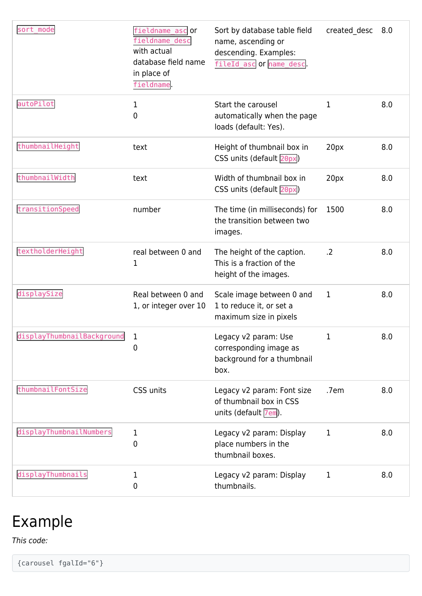| sort mode                  | fieldname ascoor<br>fieldname_desc<br>with actual<br>database field name<br>in place of<br>fieldname. | Sort by database table field<br>name, ascending or<br>descending. Examples:<br>fileId_asc or name_desc. | created desc 8.0 |     |
|----------------------------|-------------------------------------------------------------------------------------------------------|---------------------------------------------------------------------------------------------------------|------------------|-----|
| autoPilot                  | 1<br>0                                                                                                | Start the carousel<br>automatically when the page<br>loads (default: Yes).                              | 1                | 8.0 |
| thumbnailHeight            | text                                                                                                  | Height of thumbnail box in<br>CSS units (default 20px)                                                  | 20px             | 8.0 |
| thumbnailWidth             | text                                                                                                  | Width of thumbnail box in<br>CSS units (default 20px)                                                   | 20px             | 8.0 |
| transitionSpeed            | number                                                                                                | The time (in milliseconds) for<br>the transition between two<br>images.                                 | 1500             | 8.0 |
| textholderHeight           | real between 0 and<br>1                                                                               | The height of the caption.<br>This is a fraction of the<br>height of the images.                        | .2               | 8.0 |
| displaySize                | Real between 0 and<br>1, or integer over 10                                                           | Scale image between 0 and<br>1 to reduce it, or set a<br>maximum size in pixels                         | $\mathbf 1$      | 8.0 |
| displayThumbnailBackground | 1<br>0                                                                                                | Legacy v2 param: Use<br>corresponding image as<br>background for a thumbnail<br>box.                    | 1                | 8.0 |
| thumbnailFontSize          | CSS units                                                                                             | Legacy v2 param: Font size<br>of thumbnail box in CSS<br>units (default 7em).                           | .7em             | 8.0 |
| displayThumbnailNumbers    | 1<br>0                                                                                                | Legacy v2 param: Display<br>place numbers in the<br>thumbnail boxes.                                    | 1                | 8.0 |
| displayThumbnails          | 1<br>0                                                                                                | Legacy v2 param: Display<br>thumbnails.                                                                 | 1                | 8.0 |

## Example

This code:

{carousel fgalId="6"}